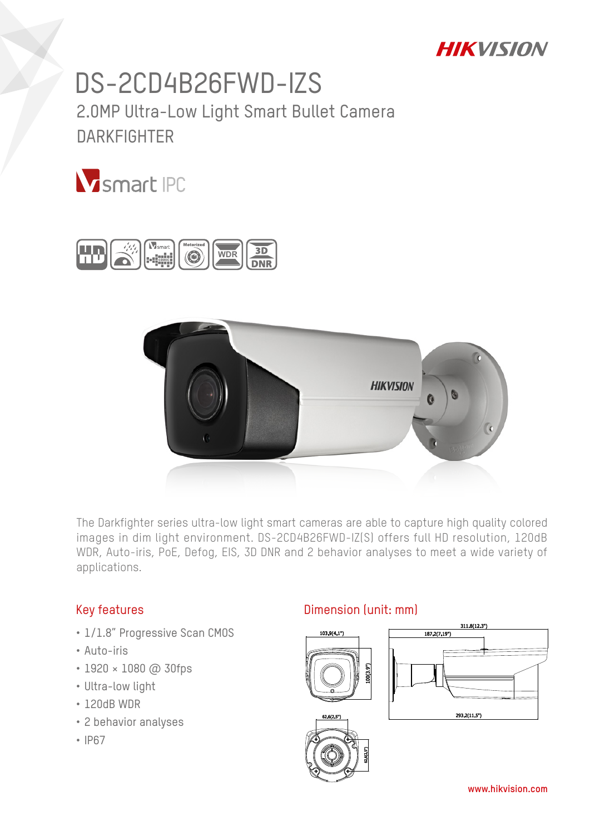## **HIKVISION**

# DS-2CD4B26FWD-IZS 2.0MP Ultra-Low Light Smart Bullet Camera **DARKFIGHTFR**







The Darkfighter series ultra-low light smart cameras are able to capture high quality colored images in dim light environment. DS-2CD4B26FWD-IZ(S) offers full HD resolution, 120dB WDR, Auto-iris, PoE, Defog, EIS, 3D DNR and 2 behavior analyses to meet a wide variety of applications.

#### Key features

- 1/1.8" Progressive Scan CMOS
- Auto-iris
- 1920 × 1080 @ 30fps
- Ultra-low light
- 120dB WDR
- 2 behavior analyses
- IP67

#### Dimension (unit: mm)